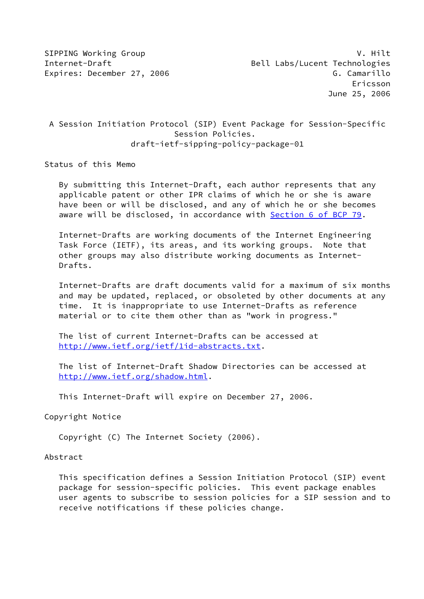## A Session Initiation Protocol (SIP) Event Package for Session-Specific Session Policies. draft-ietf-sipping-policy-package-01

Status of this Memo

 By submitting this Internet-Draft, each author represents that any applicable patent or other IPR claims of which he or she is aware have been or will be disclosed, and any of which he or she becomes aware will be disclosed, in accordance with Section [6 of BCP 79.](https://datatracker.ietf.org/doc/pdf/bcp79#section-6)

 Internet-Drafts are working documents of the Internet Engineering Task Force (IETF), its areas, and its working groups. Note that other groups may also distribute working documents as Internet- Drafts.

 Internet-Drafts are draft documents valid for a maximum of six months and may be updated, replaced, or obsoleted by other documents at any time. It is inappropriate to use Internet-Drafts as reference material or to cite them other than as "work in progress."

 The list of current Internet-Drafts can be accessed at <http://www.ietf.org/ietf/1id-abstracts.txt>.

 The list of Internet-Draft Shadow Directories can be accessed at <http://www.ietf.org/shadow.html>.

This Internet-Draft will expire on December 27, 2006.

Copyright Notice

Copyright (C) The Internet Society (2006).

#### Abstract

 This specification defines a Session Initiation Protocol (SIP) event package for session-specific policies. This event package enables user agents to subscribe to session policies for a SIP session and to receive notifications if these policies change.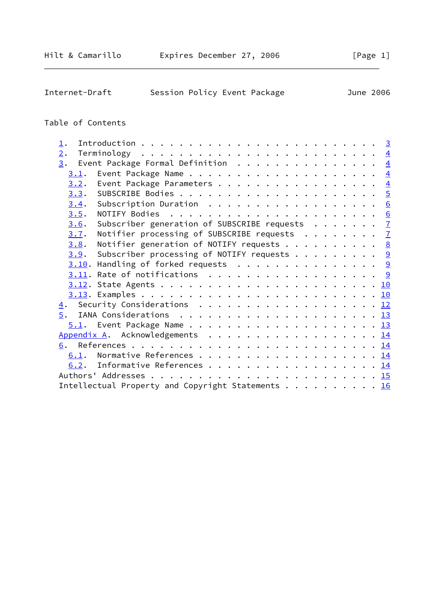| Internet-Draft | Session Policy Event Package |  | June 2006 |  |
|----------------|------------------------------|--|-----------|--|
|                |                              |  |           |  |

# Table of Contents

| $\mathbf{\underline{1}}$ . |                                                                |  |  |  |  |
|----------------------------|----------------------------------------------------------------|--|--|--|--|
| 2.                         |                                                                |  |  |  |  |
|                            | $\underline{3}$ . Event Package Formal Definition 4            |  |  |  |  |
| 3.1.                       |                                                                |  |  |  |  |
|                            | 3.2. Event Package Parameters 4                                |  |  |  |  |
|                            |                                                                |  |  |  |  |
| 3.4.                       | Subscription Duration 6                                        |  |  |  |  |
| 3.5.                       |                                                                |  |  |  |  |
| 3.6.                       | Subscriber generation of SUBSCRIBE requests $\frac{7}{2}$      |  |  |  |  |
| 3.7.                       | Notifier processing of SUBSCRIBE requests $\frac{7}{2}$        |  |  |  |  |
| 3.8.                       | Notifier generation of NOTIFY requests 8                       |  |  |  |  |
|                            | <u>3.9</u> . Subscriber processing of NOTIFY requests <u>9</u> |  |  |  |  |
|                            | $3.10$ . Handling of forked requests 9                         |  |  |  |  |
|                            |                                                                |  |  |  |  |
|                            |                                                                |  |  |  |  |
|                            |                                                                |  |  |  |  |
|                            | <u>4</u> . Security Considerations <u>12</u>                   |  |  |  |  |
| 5.                         |                                                                |  |  |  |  |
|                            |                                                                |  |  |  |  |
|                            | Appendix A. Acknowledgements 14                                |  |  |  |  |
|                            |                                                                |  |  |  |  |
|                            |                                                                |  |  |  |  |
|                            | 6.2. Informative References 14                                 |  |  |  |  |
|                            |                                                                |  |  |  |  |
|                            | Intellectual Property and Copyright Statements 16              |  |  |  |  |
|                            |                                                                |  |  |  |  |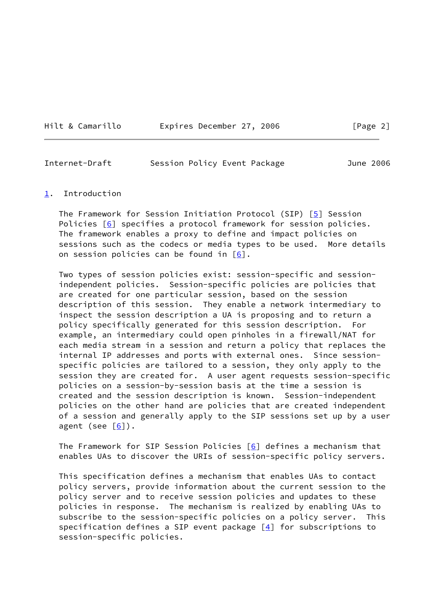Hilt & Camarillo Expires December 27, 2006 [Page 2]

<span id="page-2-1"></span>

| Internet-Draft | Session Policy Event Package |  | June 2006 |
|----------------|------------------------------|--|-----------|
|----------------|------------------------------|--|-----------|

#### <span id="page-2-0"></span>[1](#page-2-0). Introduction

 The Framework for Session Initiation Protocol (SIP) [\[5](#page-15-4)] Session Policies [\[6\]](#page-15-5) specifies a protocol framework for session policies. The framework enables a proxy to define and impact policies on sessions such as the codecs or media types to be used. More details on session policies can be found in  $[6]$  $[6]$ .

 Two types of session policies exist: session-specific and session independent policies. Session-specific policies are policies that are created for one particular session, based on the session description of this session. They enable a network intermediary to inspect the session description a UA is proposing and to return a policy specifically generated for this session description. For example, an intermediary could open pinholes in a firewall/NAT for each media stream in a session and return a policy that replaces the internal IP addresses and ports with external ones. Since session specific policies are tailored to a session, they only apply to the session they are created for. A user agent requests session-specific policies on a session-by-session basis at the time a session is created and the session description is known. Session-independent policies on the other hand are policies that are created independent of a session and generally apply to the SIP sessions set up by a user agent (see  $[6]$  $[6]$ ).

The Framework for SIP Session Policies  $[6]$  $[6]$  defines a mechanism that enables UAs to discover the URIs of session-specific policy servers.

 This specification defines a mechanism that enables UAs to contact policy servers, provide information about the current session to the policy server and to receive session policies and updates to these policies in response. The mechanism is realized by enabling UAs to subscribe to the session-specific policies on a policy server. This specification defines a SIP event package  $[4]$  $[4]$  for subscriptions to session-specific policies.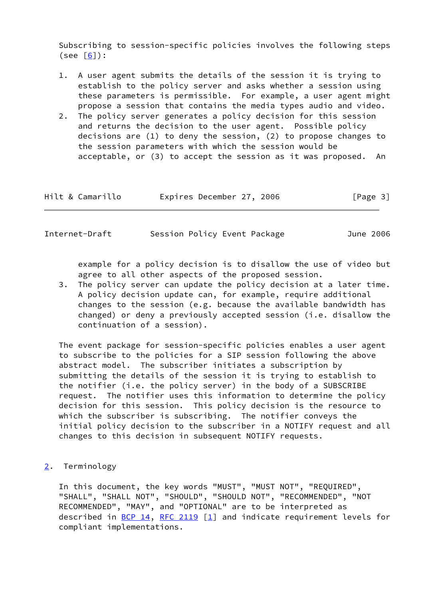Subscribing to session-specific policies involves the following steps  $(see [6]):$  $(see [6]):$  $(see [6]):$ 

- 1. A user agent submits the details of the session it is trying to establish to the policy server and asks whether a session using these parameters is permissible. For example, a user agent might propose a session that contains the media types audio and video.
- 2. The policy server generates a policy decision for this session and returns the decision to the user agent. Possible policy decisions are (1) to deny the session, (2) to propose changes to the session parameters with which the session would be acceptable, or (3) to accept the session as it was proposed. An

| Hilt & Camarillo | Expires December 27, 2006 |  | [Page 3] |
|------------------|---------------------------|--|----------|
|------------------|---------------------------|--|----------|

<span id="page-3-1"></span>

| Internet-Draft | Session Policy Event Package | June 2006 |
|----------------|------------------------------|-----------|
|                |                              |           |

 example for a policy decision is to disallow the use of video but agree to all other aspects of the proposed session.

 3. The policy server can update the policy decision at a later time. A policy decision update can, for example, require additional changes to the session (e.g. because the available bandwidth has changed) or deny a previously accepted session (i.e. disallow the continuation of a session).

 The event package for session-specific policies enables a user agent to subscribe to the policies for a SIP session following the above abstract model. The subscriber initiates a subscription by submitting the details of the session it is trying to establish to the notifier (i.e. the policy server) in the body of a SUBSCRIBE request. The notifier uses this information to determine the policy decision for this session. This policy decision is the resource to which the subscriber is subscribing. The notifier conveys the initial policy decision to the subscriber in a NOTIFY request and all changes to this decision in subsequent NOTIFY requests.

<span id="page-3-0"></span>[2](#page-3-0). Terminology

 In this document, the key words "MUST", "MUST NOT", "REQUIRED", "SHALL", "SHALL NOT", "SHOULD", "SHOULD NOT", "RECOMMENDED", "NOT RECOMMENDED", "MAY", and "OPTIONAL" are to be interpreted as described in  $BCP$  14, [RFC 2119](https://datatracker.ietf.org/doc/pdf/rfc2119) [[1\]](#page-15-7) and indicate requirement levels for compliant implementations.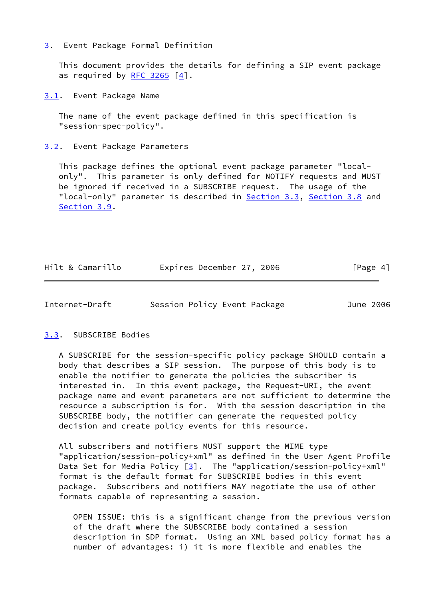#### <span id="page-4-0"></span>[3](#page-4-0). Event Package Formal Definition

 This document provides the details for defining a SIP event package as required by  $RFC$  3265  $[4]$  $[4]$ .

<span id="page-4-1"></span>[3.1](#page-4-1). Event Package Name

 The name of the event package defined in this specification is "session-spec-policy".

<span id="page-4-2"></span>[3.2](#page-4-2). Event Package Parameters

 This package defines the optional event package parameter "local only". This parameter is only defined for NOTIFY requests and MUST be ignored if received in a SUBSCRIBE request. The usage of the "local-only" parameter is described in [Section 3.3](#page-4-3), [Section 3.8](#page-8-0) and [Section 3.9](#page-9-0).

| Hilt & Camarillo | Expires December 27, 2006 |  | [Page 4] |
|------------------|---------------------------|--|----------|
|------------------|---------------------------|--|----------|

<span id="page-4-4"></span>Internet-Draft Session Policy Event Package June 2006

## <span id="page-4-3"></span>[3.3](#page-4-3). SUBSCRIBE Bodies

 A SUBSCRIBE for the session-specific policy package SHOULD contain a body that describes a SIP session. The purpose of this body is to enable the notifier to generate the policies the subscriber is interested in. In this event package, the Request-URI, the event package name and event parameters are not sufficient to determine the resource a subscription is for. With the session description in the SUBSCRIBE body, the notifier can generate the requested policy decision and create policy events for this resource.

 All subscribers and notifiers MUST support the MIME type "application/session-policy+xml" as defined in the User Agent Profile Data Set for Media Policy  $\lceil 3 \rceil$ . The "application/session-policy+xml" format is the default format for SUBSCRIBE bodies in this event package. Subscribers and notifiers MAY negotiate the use of other formats capable of representing a session.

 OPEN ISSUE: this is a significant change from the previous version of the draft where the SUBSCRIBE body contained a session description in SDP format. Using an XML based policy format has a number of advantages: i) it is more flexible and enables the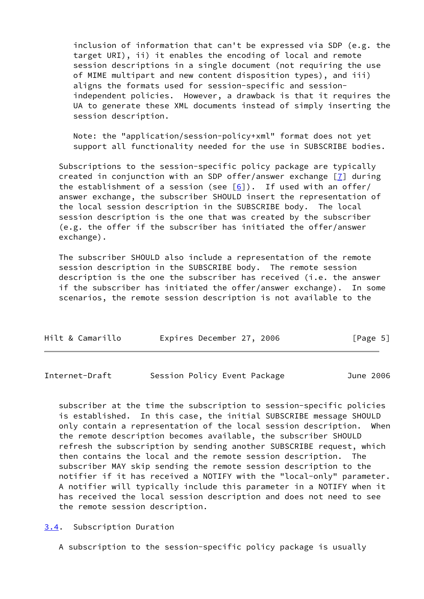inclusion of information that can't be expressed via SDP (e.g. the target URI), ii) it enables the encoding of local and remote session descriptions in a single document (not requiring the use of MIME multipart and new content disposition types), and iii) aligns the formats used for session-specific and session independent policies. However, a drawback is that it requires the UA to generate these XML documents instead of simply inserting the session description.

 Note: the "application/session-policy+xml" format does not yet support all functionality needed for the use in SUBSCRIBE bodies.

 Subscriptions to the session-specific policy package are typically created in conjunction with an SDP offer/answer exchange [\[7\]](#page-15-9) during the establishment of a session (see  $[6]$  $[6]$ ). If used with an offer/ answer exchange, the subscriber SHOULD insert the representation of the local session description in the SUBSCRIBE body. The local session description is the one that was created by the subscriber (e.g. the offer if the subscriber has initiated the offer/answer exchange).

 The subscriber SHOULD also include a representation of the remote session description in the SUBSCRIBE body. The remote session description is the one the subscriber has received (i.e. the answer if the subscriber has initiated the offer/answer exchange). In some scenarios, the remote session description is not available to the

| Hilt & Camarillo | Expires December 27, 2006 |  | [Page 5] |  |
|------------------|---------------------------|--|----------|--|
|                  |                           |  |          |  |

<span id="page-5-1"></span>Internet-Draft Session Policy Event Package June 2006

 subscriber at the time the subscription to session-specific policies is established. In this case, the initial SUBSCRIBE message SHOULD only contain a representation of the local session description. When the remote description becomes available, the subscriber SHOULD refresh the subscription by sending another SUBSCRIBE request, which then contains the local and the remote session description. The subscriber MAY skip sending the remote session description to the notifier if it has received a NOTIFY with the "local-only" parameter. A notifier will typically include this parameter in a NOTIFY when it has received the local session description and does not need to see the remote session description.

<span id="page-5-0"></span>[3.4](#page-5-0). Subscription Duration

A subscription to the session-specific policy package is usually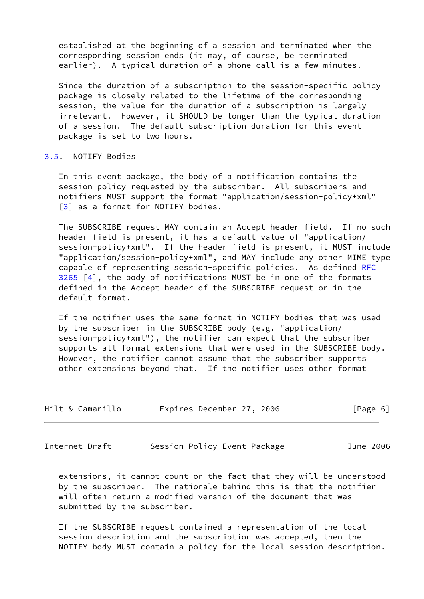established at the beginning of a session and terminated when the corresponding session ends (it may, of course, be terminated earlier). A typical duration of a phone call is a few minutes.

 Since the duration of a subscription to the session-specific policy package is closely related to the lifetime of the corresponding session, the value for the duration of a subscription is largely irrelevant. However, it SHOULD be longer than the typical duration of a session. The default subscription duration for this event package is set to two hours.

## <span id="page-6-0"></span>[3.5](#page-6-0). NOTIFY Bodies

 In this event package, the body of a notification contains the session policy requested by the subscriber. All subscribers and notifiers MUST support the format "application/session-policy+xml" [\[3](#page-15-8)] as a format for NOTIFY bodies.

 The SUBSCRIBE request MAY contain an Accept header field. If no such header field is present, it has a default value of "application/ session-policy+xml". If the header field is present, it MUST include "application/session-policy+xml", and MAY include any other MIME type capable of representing session-specific policies. As defined [RFC](https://datatracker.ietf.org/doc/pdf/rfc3265)  $3265$   $[4]$ , the body of notifications MUST be in one of the formats defined in the Accept header of the SUBSCRIBE request or in the default format.

 If the notifier uses the same format in NOTIFY bodies that was used by the subscriber in the SUBSCRIBE body (e.g. "application/ session-policy+xml"), the notifier can expect that the subscriber supports all format extensions that were used in the SUBSCRIBE body. However, the notifier cannot assume that the subscriber supports other extensions beyond that. If the notifier uses other format

| Hilt & Camarillo | Expires December 27, 2006 | [Page 6] |
|------------------|---------------------------|----------|
|------------------|---------------------------|----------|

<span id="page-6-1"></span>Internet-Draft Session Policy Event Package June 2006

 extensions, it cannot count on the fact that they will be understood by the subscriber. The rationale behind this is that the notifier will often return a modified version of the document that was submitted by the subscriber.

 If the SUBSCRIBE request contained a representation of the local session description and the subscription was accepted, then the NOTIFY body MUST contain a policy for the local session description.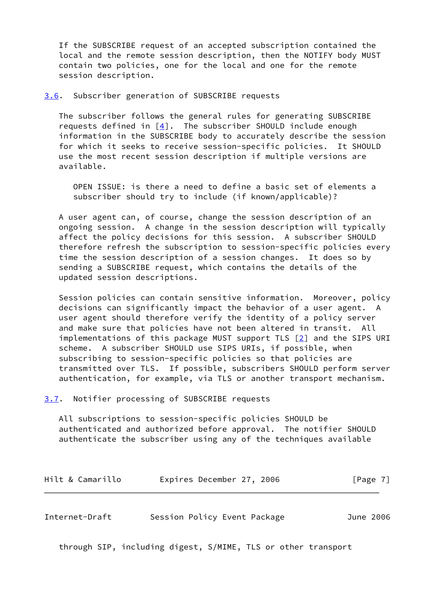If the SUBSCRIBE request of an accepted subscription contained the local and the remote session description, then the NOTIFY body MUST contain two policies, one for the local and one for the remote session description.

<span id="page-7-0"></span>[3.6](#page-7-0). Subscriber generation of SUBSCRIBE requests

 The subscriber follows the general rules for generating SUBSCRIBE requests defined in  $\lceil 4 \rceil$ . The subscriber SHOULD include enough information in the SUBSCRIBE body to accurately describe the session for which it seeks to receive session-specific policies. It SHOULD use the most recent session description if multiple versions are available.

 OPEN ISSUE: is there a need to define a basic set of elements a subscriber should try to include (if known/applicable)?

 A user agent can, of course, change the session description of an ongoing session. A change in the session description will typically affect the policy decisions for this session. A subscriber SHOULD therefore refresh the subscription to session-specific policies every time the session description of a session changes. It does so by sending a SUBSCRIBE request, which contains the details of the updated session descriptions.

 Session policies can contain sensitive information. Moreover, policy decisions can significantly impact the behavior of a user agent. A user agent should therefore verify the identity of a policy server and make sure that policies have not been altered in transit. All implementations of this package MUST support TLS  $[2]$  and the SIPS URI scheme. A subscriber SHOULD use SIPS URIs, if possible, when subscribing to session-specific policies so that policies are transmitted over TLS. If possible, subscribers SHOULD perform server authentication, for example, via TLS or another transport mechanism.

<span id="page-7-1"></span>[3.7](#page-7-1). Notifier processing of SUBSCRIBE requests

 All subscriptions to session-specific policies SHOULD be authenticated and authorized before approval. The notifier SHOULD authenticate the subscriber using any of the techniques available

| Hilt & Camarillo | Expires December 27, 2006 |  | [Page 7] |
|------------------|---------------------------|--|----------|
|------------------|---------------------------|--|----------|

<span id="page-7-2"></span>

| Internet-Draft | Session Policy Event Package |  |  | June 2006 |
|----------------|------------------------------|--|--|-----------|
|----------------|------------------------------|--|--|-----------|

through SIP, including digest, S/MIME, TLS or other transport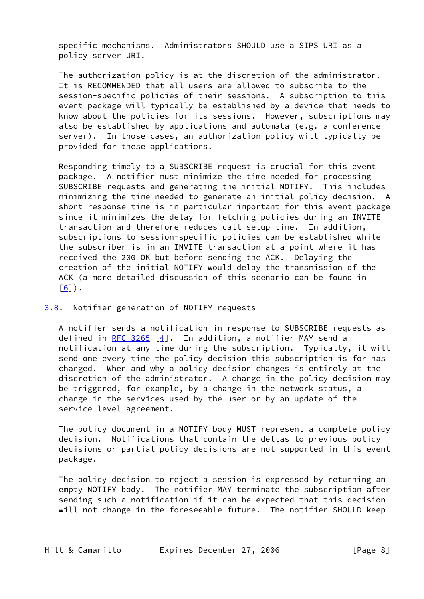specific mechanisms. Administrators SHOULD use a SIPS URI as a policy server URI.

 The authorization policy is at the discretion of the administrator. It is RECOMMENDED that all users are allowed to subscribe to the session-specific policies of their sessions. A subscription to this event package will typically be established by a device that needs to know about the policies for its sessions. However, subscriptions may also be established by applications and automata (e.g. a conference server). In those cases, an authorization policy will typically be provided for these applications.

 Responding timely to a SUBSCRIBE request is crucial for this event package. A notifier must minimize the time needed for processing SUBSCRIBE requests and generating the initial NOTIFY. This includes minimizing the time needed to generate an initial policy decision. A short response time is in particular important for this event package since it minimizes the delay for fetching policies during an INVITE transaction and therefore reduces call setup time. In addition, subscriptions to session-specific policies can be established while the subscriber is in an INVITE transaction at a point where it has received the 200 OK but before sending the ACK. Delaying the creation of the initial NOTIFY would delay the transmission of the ACK (a more detailed discussion of this scenario can be found in  $[6]$  $[6]$ .

<span id="page-8-0"></span>[3.8](#page-8-0). Notifier generation of NOTIFY requests

 A notifier sends a notification in response to SUBSCRIBE requests as defined in [RFC 3265](https://datatracker.ietf.org/doc/pdf/rfc3265)  $[4]$  $[4]$ . In addition, a notifier MAY send a notification at any time during the subscription. Typically, it will send one every time the policy decision this subscription is for has changed. When and why a policy decision changes is entirely at the discretion of the administrator. A change in the policy decision may be triggered, for example, by a change in the network status, a change in the services used by the user or by an update of the service level agreement.

 The policy document in a NOTIFY body MUST represent a complete policy decision. Notifications that contain the deltas to previous policy decisions or partial policy decisions are not supported in this event package.

 The policy decision to reject a session is expressed by returning an empty NOTIFY body. The notifier MAY terminate the subscription after sending such a notification if it can be expected that this decision will not change in the foreseeable future. The notifier SHOULD keep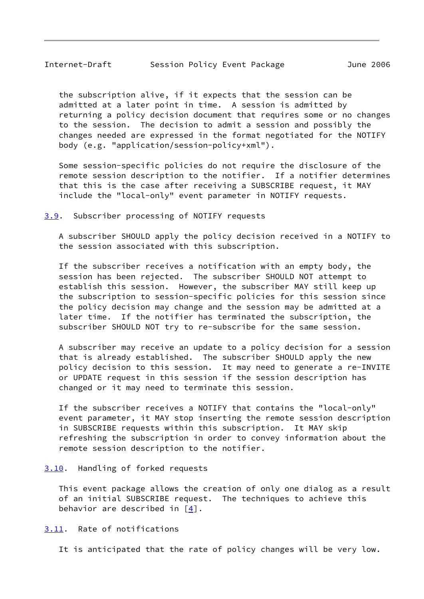<span id="page-9-1"></span> the subscription alive, if it expects that the session can be admitted at a later point in time. A session is admitted by returning a policy decision document that requires some or no changes to the session. The decision to admit a session and possibly the changes needed are expressed in the format negotiated for the NOTIFY body (e.g. "application/session-policy+xml").

 Some session-specific policies do not require the disclosure of the remote session description to the notifier. If a notifier determines that this is the case after receiving a SUBSCRIBE request, it MAY include the "local-only" event parameter in NOTIFY requests.

<span id="page-9-0"></span>[3.9](#page-9-0). Subscriber processing of NOTIFY requests

 A subscriber SHOULD apply the policy decision received in a NOTIFY to the session associated with this subscription.

 If the subscriber receives a notification with an empty body, the session has been rejected. The subscriber SHOULD NOT attempt to establish this session. However, the subscriber MAY still keep up the subscription to session-specific policies for this session since the policy decision may change and the session may be admitted at a later time. If the notifier has terminated the subscription, the subscriber SHOULD NOT try to re-subscribe for the same session.

 A subscriber may receive an update to a policy decision for a session that is already established. The subscriber SHOULD apply the new policy decision to this session. It may need to generate a re-INVITE or UPDATE request in this session if the session description has changed or it may need to terminate this session.

 If the subscriber receives a NOTIFY that contains the "local-only" event parameter, it MAY stop inserting the remote session description in SUBSCRIBE requests within this subscription. It MAY skip refreshing the subscription in order to convey information about the remote session description to the notifier.

<span id="page-9-2"></span>[3.10](#page-9-2). Handling of forked requests

 This event package allows the creation of only one dialog as a result of an initial SUBSCRIBE request. The techniques to achieve this behavior are described in  $[4]$  $[4]$ .

<span id="page-9-3"></span>[3.11](#page-9-3). Rate of notifications

It is anticipated that the rate of policy changes will be very low.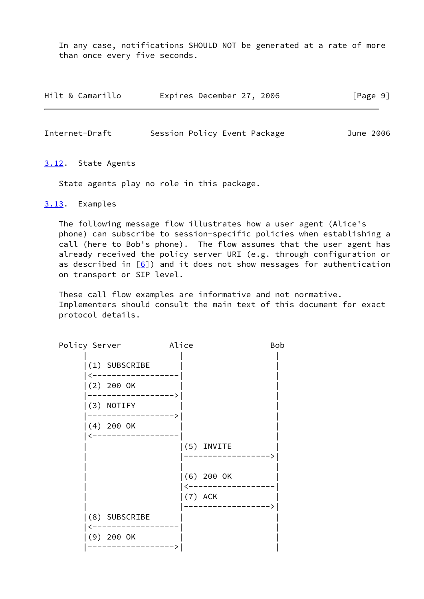In any case, notifications SHOULD NOT be generated at a rate of more than once every five seconds.

| Hilt & Camarillo | Expires December 27, 2006 | [Page 9] |
|------------------|---------------------------|----------|
|------------------|---------------------------|----------|

<span id="page-10-1"></span>

| Internet-Draft |  | Session Policy Event Package | June 2006 |
|----------------|--|------------------------------|-----------|
|                |  |                              |           |

#### <span id="page-10-0"></span>[3.12](#page-10-0). State Agents

State agents play no role in this package.

<span id="page-10-2"></span>[3.13](#page-10-2). Examples

 The following message flow illustrates how a user agent (Alice's phone) can subscribe to session-specific policies when establishing a call (here to Bob's phone). The flow assumes that the user agent has already received the policy server URI (e.g. through configuration or as described in  $[6]$  $[6]$ ) and it does not show messages for authentication on transport or SIP level.

 These call flow examples are informative and not normative. Implementers should consult the main text of this document for exact protocol details.

| Policy Server   | Alice        | Bob |
|-----------------|--------------|-----|
| $(1)$ SUBSCRIBE |              |     |
| $(2)$ 200 OK    |              |     |
| (3) NOTIFY      |              |     |
| $(4)$ 200 OK    |              |     |
|                 | (5) INVITE   |     |
|                 | $(6)$ 200 OK |     |
|                 | $(7)$ ACK    |     |
| (8) SUBSCRIBE   |              |     |
| $(9)$ 200 OK    |              |     |
|                 |              |     |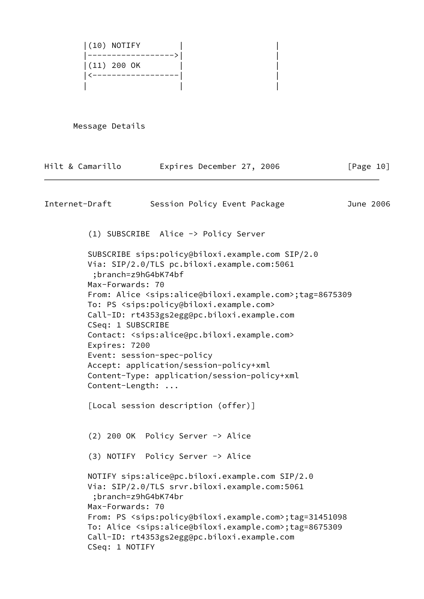|(10) NOTIFY | | |------------------>| | |(11) 200 OK | | |<------------------| |  $\mathbf{I}$  |  $\mathbf{I}$  |  $\mathbf{I}$  |  $\mathbf{I}$  |  $\mathbf{I}$  |  $\mathbf{I}$ 

Message Details

| Hilt & Camarillo                                                          | Expires December 27, 2006                                                                                                                                                                                                                                                                                                                                                                                                                                                                                                                                    | [Page 10] |
|---------------------------------------------------------------------------|--------------------------------------------------------------------------------------------------------------------------------------------------------------------------------------------------------------------------------------------------------------------------------------------------------------------------------------------------------------------------------------------------------------------------------------------------------------------------------------------------------------------------------------------------------------|-----------|
| Internet-Draft                                                            | Session Policy Event Package                                                                                                                                                                                                                                                                                                                                                                                                                                                                                                                                 | June 2006 |
|                                                                           | (1) SUBSCRIBE Alice -> Policy Server                                                                                                                                                                                                                                                                                                                                                                                                                                                                                                                         |           |
| Max-Forwards: 70<br>CSeq: 1 SUBSCRIBE<br>Expires: 7200<br>Content-Length: | SUBSCRIBE sips:policy@biloxi.example.com SIP/2.0<br>Via: SIP/2.0/TLS pc.biloxi.example.com:5061<br>;branch=z9hG4bK74bf<br>From: Alice <sips:alice@biloxi.example.com>;tag=8675309<br/>To: PS <sips:policy@biloxi.example.com><br/>Call-ID: rt4353gs2egg@pc.biloxi.example.com<br/>Contact: <sips:alice@pc.biloxi.example.com><br/>Event: session-spec-policy<br/>Accept: application/session-policy+xml<br/>Content-Type: application/session-policy+xml</sips:alice@pc.biloxi.example.com></sips:policy@biloxi.example.com></sips:alice@biloxi.example.com> |           |
|                                                                           | [Local session description (offer)]                                                                                                                                                                                                                                                                                                                                                                                                                                                                                                                          |           |
|                                                                           | $(2)$ 200 OK Policy Server $\rightarrow$ Alice<br>(3) NOTIFY Policy Server -> Alice                                                                                                                                                                                                                                                                                                                                                                                                                                                                          |           |
| Max-Forwards: 70<br>CSeq: 1 NOTIFY                                        | NOTIFY sips:alice@pc.biloxi.example.com SIP/2.0<br>Via: SIP/2.0/TLS srvr.biloxi.example.com:5061<br>;branch=z9hG4bK74br<br>From: PS <sips:policy@biloxi.example.com>;tag=31451098<br/>To: Alice <sips:alice@biloxi.example.com>;tag=8675309<br/>Call-ID: rt4353gs2egg@pc.biloxi.example.com</sips:alice@biloxi.example.com></sips:policy@biloxi.example.com>                                                                                                                                                                                                 |           |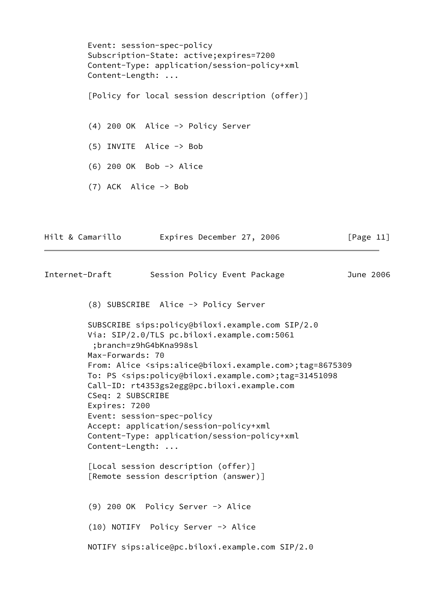Event: session-spec-policy Subscription-State: active;expires=7200 Content-Type: application/session-policy+xml Content-Length: ... [Policy for local session description (offer)] (4) 200 OK Alice -> Policy Server (5) INVITE Alice -> Bob (6) 200 OK Bob -> Alice (7) ACK Alice -> Bob Hilt & Camarillo Expires December 27, 2006 [Page 11] Internet-Draft Session Policy Event Package June 2006 (8) SUBSCRIBE Alice -> Policy Server SUBSCRIBE sips:policy@biloxi.example.com SIP/2.0 Via: SIP/2.0/TLS pc.biloxi.example.com:5061

> <span id="page-12-0"></span> ;branch=z9hG4bKna998sl Max-Forwards: 70 From: Alice <sips:alice@biloxi.example.com>;tag=8675309 To: PS <sips:policy@biloxi.example.com>;tag=31451098 Call-ID: rt4353gs2egg@pc.biloxi.example.com CSeq: 2 SUBSCRIBE Expires: 7200 Event: session-spec-policy Accept: application/session-policy+xml Content-Type: application/session-policy+xml Content-Length: ...

 [Local session description (offer)] [Remote session description (answer)]

 (9) 200 OK Policy Server -> Alice (10) NOTIFY Policy Server -> Alice NOTIFY sips:alice@pc.biloxi.example.com SIP/2.0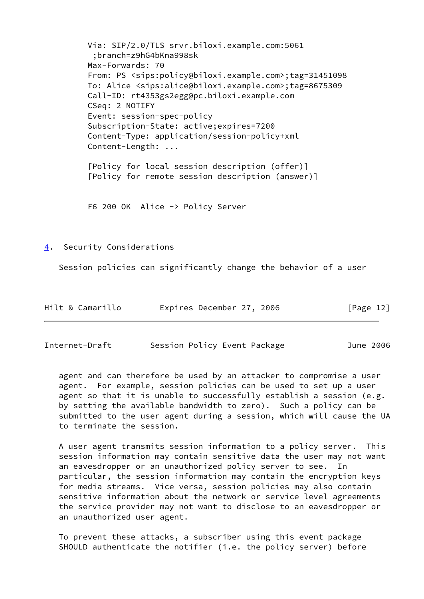Via: SIP/2.0/TLS srvr.biloxi.example.com:5061 ;branch=z9hG4bKna998sk Max-Forwards: 70 From: PS <sips:policy@biloxi.example.com>;tag=31451098 To: Alice <sips:alice@biloxi.example.com>;tag=8675309 Call-ID: rt4353gs2egg@pc.biloxi.example.com CSeq: 2 NOTIFY Event: session-spec-policy Subscription-State: active;expires=7200 Content-Type: application/session-policy+xml Content-Length: ... [Policy for local session description (offer)] [Policy for remote session description (answer)]

F6 200 OK Alice -> Policy Server

<span id="page-13-0"></span>[4](#page-13-0). Security Considerations

Session policies can significantly change the behavior of a user

| Hilt & Camarillo | Expires December 27, 2006 | [Page 12] |
|------------------|---------------------------|-----------|
|------------------|---------------------------|-----------|

<span id="page-13-1"></span>

| Internet-Draft | Session Policy Event Package |  | June 2006 |
|----------------|------------------------------|--|-----------|
|----------------|------------------------------|--|-----------|

 agent and can therefore be used by an attacker to compromise a user agent. For example, session policies can be used to set up a user agent so that it is unable to successfully establish a session (e.g. by setting the available bandwidth to zero). Such a policy can be submitted to the user agent during a session, which will cause the UA to terminate the session.

 A user agent transmits session information to a policy server. This session information may contain sensitive data the user may not want an eavesdropper or an unauthorized policy server to see. In particular, the session information may contain the encryption keys for media streams. Vice versa, session policies may also contain sensitive information about the network or service level agreements the service provider may not want to disclose to an eavesdropper or an unauthorized user agent.

 To prevent these attacks, a subscriber using this event package SHOULD authenticate the notifier (i.e. the policy server) before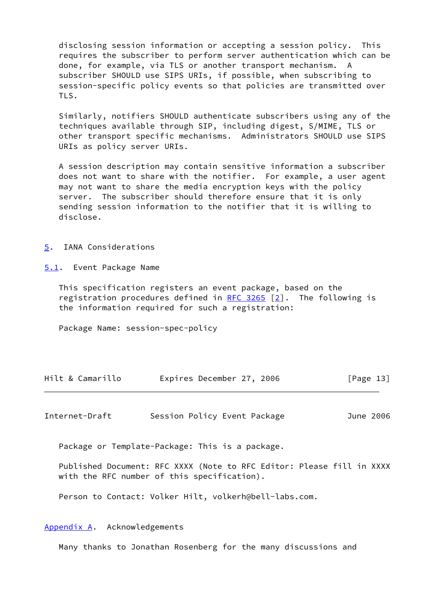disclosing session information or accepting a session policy. This requires the subscriber to perform server authentication which can be done, for example, via TLS or another transport mechanism. A subscriber SHOULD use SIPS URIs, if possible, when subscribing to session-specific policy events so that policies are transmitted over TLS.

 Similarly, notifiers SHOULD authenticate subscribers using any of the techniques available through SIP, including digest, S/MIME, TLS or other transport specific mechanisms. Administrators SHOULD use SIPS URIs as policy server URIs.

 A session description may contain sensitive information a subscriber does not want to share with the notifier. For example, a user agent may not want to share the media encryption keys with the policy server. The subscriber should therefore ensure that it is only sending session information to the notifier that it is willing to disclose.

#### <span id="page-14-0"></span>[5](#page-14-0). IANA Considerations

<span id="page-14-1"></span>[5.1](#page-14-1). Event Package Name

 This specification registers an event package, based on the registration procedures defined in [RFC 3265](https://datatracker.ietf.org/doc/pdf/rfc3265) [\[2](#page-15-10)]. The following is the information required for such a registration:

Package Name: session-spec-policy

| Hilt & Camarillo | Expires December 27, 2006 | [Page 13] |
|------------------|---------------------------|-----------|
|------------------|---------------------------|-----------|

<span id="page-14-3"></span>Internet-Draft Session Policy Event Package June 2006

Package or Template-Package: This is a package.

 Published Document: RFC XXXX (Note to RFC Editor: Please fill in XXXX with the RFC number of this specification).

Person to Contact: Volker Hilt, volkerh@bell-labs.com.

## <span id="page-14-2"></span>[Appendix A.](#page-14-2) Acknowledgements

Many thanks to Jonathan Rosenberg for the many discussions and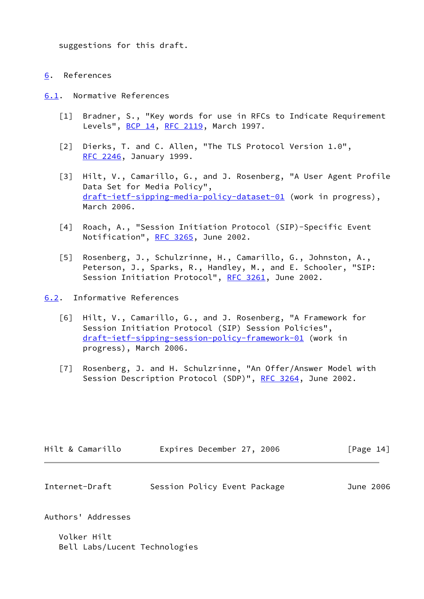suggestions for this draft.

<span id="page-15-0"></span>[6](#page-15-0). References

<span id="page-15-1"></span>[6.1](#page-15-1). Normative References

- <span id="page-15-7"></span> [1] Bradner, S., "Key words for use in RFCs to Indicate Requirement Levels", **BCP 14, [RFC 2119](https://datatracker.ietf.org/doc/pdf/rfc2119)**, March 1997.
- <span id="page-15-10"></span>[2] Dierks, T. and C. Allen, "The TLS Protocol Version 1.0", [RFC 2246](https://datatracker.ietf.org/doc/pdf/rfc2246), January 1999.
- <span id="page-15-8"></span> [3] Hilt, V., Camarillo, G., and J. Rosenberg, "A User Agent Profile Data Set for Media Policy", [draft-ietf-sipping-media-policy-dataset-01](https://datatracker.ietf.org/doc/pdf/draft-ietf-sipping-media-policy-dataset-01) (work in progress), March 2006.
- <span id="page-15-6"></span> [4] Roach, A., "Session Initiation Protocol (SIP)-Specific Event Notification", [RFC 3265,](https://datatracker.ietf.org/doc/pdf/rfc3265) June 2002.
- <span id="page-15-4"></span> [5] Rosenberg, J., Schulzrinne, H., Camarillo, G., Johnston, A., Peterson, J., Sparks, R., Handley, M., and E. Schooler, "SIP: Session Initiation Protocol", [RFC 3261,](https://datatracker.ietf.org/doc/pdf/rfc3261) June 2002.
- <span id="page-15-9"></span><span id="page-15-5"></span><span id="page-15-2"></span>[6.2](#page-15-2). Informative References
	- [6] Hilt, V., Camarillo, G., and J. Rosenberg, "A Framework for Session Initiation Protocol (SIP) Session Policies", [draft-ietf-sipping-session-policy-framework-01](https://datatracker.ietf.org/doc/pdf/draft-ietf-sipping-session-policy-framework-01) (work in progress), March 2006.
	- [7] Rosenberg, J. and H. Schulzrinne, "An Offer/Answer Model with Session Description Protocol (SDP)", [RFC 3264](https://datatracker.ietf.org/doc/pdf/rfc3264), June 2002.

| Hilt & Camarillo | Expires December 27, 2006 | [Page 14] |
|------------------|---------------------------|-----------|
|                  |                           |           |

<span id="page-15-3"></span>

| Internet-Draft | Session Policy Event Package |  | June 2006 |
|----------------|------------------------------|--|-----------|
|----------------|------------------------------|--|-----------|

Authors' Addresses

 Volker Hilt Bell Labs/Lucent Technologies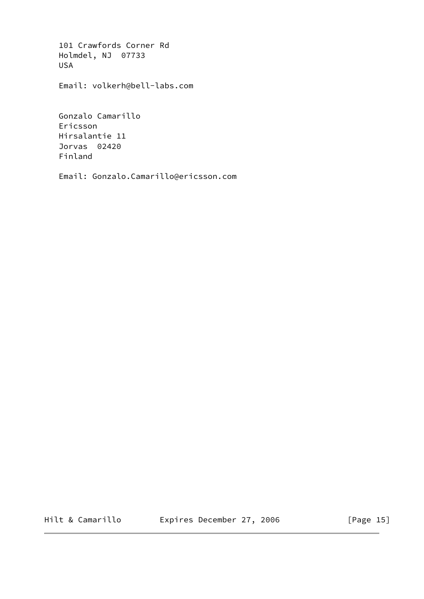101 Crawfords Corner Rd Holmdel, NJ 07733 USA

Email: volkerh@bell-labs.com

 Gonzalo Camarillo Ericsson Hirsalantie 11 Jorvas 02420 Finland

Email: Gonzalo.Camarillo@ericsson.com

Hilt & Camarillo Expires December 27, 2006 [Page 15]